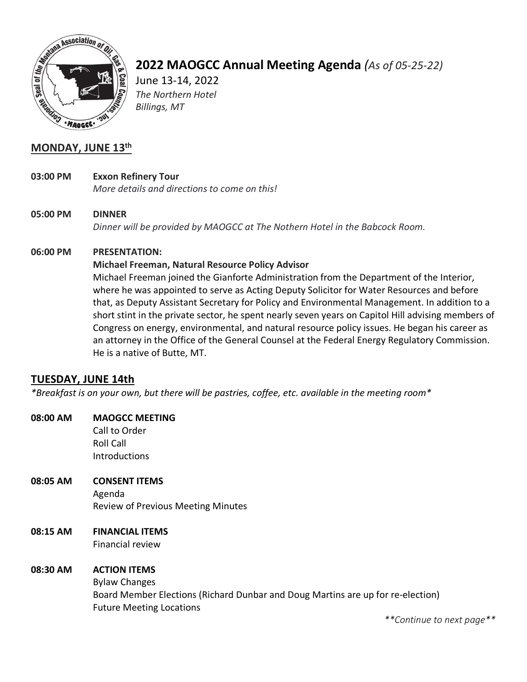

# **2022 MAOGCC Annual Meeting Agenda** *(As of 05-25-22)*

June 13-14, 2022 *The Northern Hotel Billings, MT*

# **MONDAY, JUNE 13th**

- **03:00 PM Exxon Refinery Tour** *More details and directions to come on this!*
- **05:00 PM DINNER** *Dinner will be provided by MAOGCC at The Nothern Hotel in the Babcock Room.*

## **06:00 PM PRESENTATION:**

## **Michael Freeman, Natural Resource Policy Advisor**

Michael Freeman joined the Gianforte Administration from the Department of the Interior, where he was appointed to serve as Acting Deputy Solicitor for Water Resources and before that, as Deputy Assistant Secretary for Policy and Environmental Management. In addition to a short stint in the private sector, he spent nearly seven years on Capitol Hill advising members of Congress on energy, environmental, and natural resource policy issues. He began his career as an attorney in the Office of the General Counsel at the Federal Energy Regulatory Commission. He is a native of Butte, MT.

# **TUESDAY, JUNE 14th**

*\*Breakfast is on your own, but there will be pastries, coffee, etc. available in the meeting room\**

# **08:00 AM MAOGCC MEETING**

Call to Order Roll Call Introductions

## **08:05 AM CONSENT ITEMS** Agenda Review of Previous Meeting Minutes

# **08:15 AM FINANCIAL ITEMS**

Financial review

## **08:30 AM ACTION ITEMS**

Bylaw Changes Board Member Elections (Richard Dunbar and Doug Martins are up for re-election) Future Meeting Locations

*\*\*Continue to next page\*\**